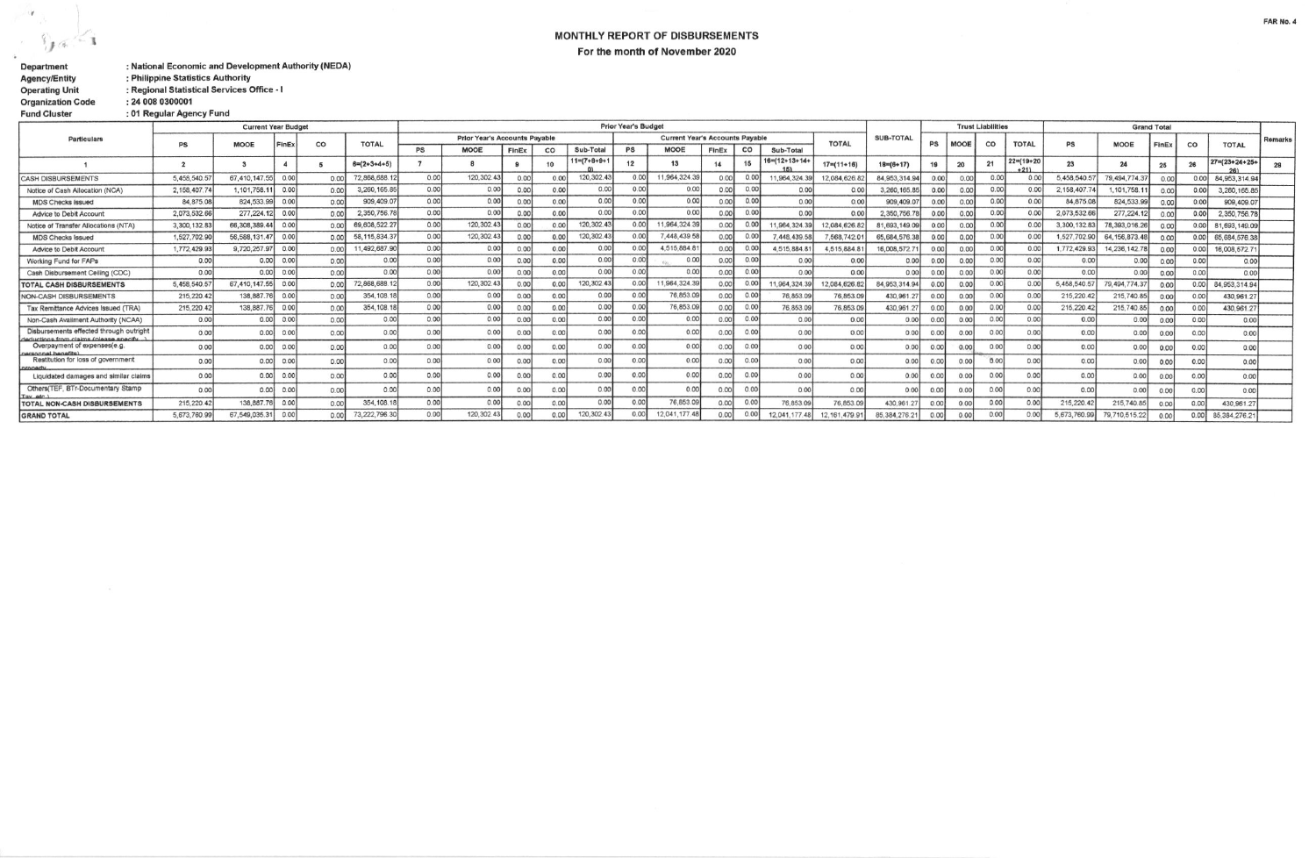$\mathcal{A}$  $\mathbb{R}$  $\sim$  $1.6$  $\hat{\bullet}$ 

## MONTHLY REPORT OF DISBURSEMENTS For the month of November 2020

| <b>Department</b>        | : National Economic and Development Authority (NEDA) |
|--------------------------|------------------------------------------------------|
| <b>Agency/Entity</b>     | : Philippine Statistics Authority                    |
| <b>Operating Unit</b>    | : Regional Statistical Services Office - I           |
| <b>Organization Code</b> | : 24 008 0300001                                     |
| <b>Fund Cluster</b>      | : 01 Regular Agency Fund                             |

|                                                                        | <b>Current Year Budget</b> |               |       |       |                       |                                      | <b>Prior Year's Budget</b> |                |       |                        |           |                                                        |       |       |                       |                  |                  | <b>Trust Liabilities</b> |      |                |                            | <b>Grand Total</b> |                  |       |       |                        |         |
|------------------------------------------------------------------------|----------------------------|---------------|-------|-------|-----------------------|--------------------------------------|----------------------------|----------------|-------|------------------------|-----------|--------------------------------------------------------|-------|-------|-----------------------|------------------|------------------|--------------------------|------|----------------|----------------------------|--------------------|------------------|-------|-------|------------------------|---------|
| <b>Particulars</b>                                                     |                            |               |       |       | <b>TOTAL</b>          | <b>Prior Year's Accounts Payable</b> |                            |                |       |                        |           | <b>Current Year's Accounts Payable</b><br><b>TOTAL</b> |       |       |                       |                  | <b>SUB-TOTAL</b> | PS                       |      |                | <b>TOTAL</b>               |                    |                  |       |       |                        | Remarks |
|                                                                        | PS                         | <b>MOOE</b>   | FinEx | co    |                       | <b>PS</b>                            | <b>MOOE</b>                | FinEx          | CO    | Sub-Total              | <b>PS</b> | <b>MOOE</b>                                            | FinEx | co    | Sub-Total             |                  |                  |                          |      | CO             |                            | PS                 | <b>MOOE</b>      | FinEx | co    | <b>TOTAL</b>           |         |
|                                                                        |                            |               |       |       | $6 = (2 + 3 + 4 + 5)$ |                                      |                            |                | 10    | $11 = (7 + 8 + 9 + 1)$ | 12        | 13                                                     | 14    | 15    | $16 = (12 + 13 + 14)$ | $17 = (11 + 16)$ | $18 = (6 + 17)$  | 19                       | 20   |                | $22 = (19 + 20)$<br>$+211$ | 23                 | 2 <sub>d</sub>   | 25    | 26    | $27 = (23 + 24 + 25 +$ |         |
| <b>CASH DISBURSEMENTS</b>                                              | 5,458,540.5                | 67,410,147.55 | 0.001 | 0.00  | 72,868,688.1          | 0.00                                 | 120, 302.43                | 0 <sup>o</sup> | 0.00  | 120,302.43             | 0.00      | 11,964,324.3                                           |       | 0.00  | 1.964.324             | 12.084.626       | 84.953.314.94    | 0.00                     |      | 0.00           | 0.0                        | 5,458,540.5        | 79, 494, 774, 3  | 0.00  |       | 84,953,314.94          |         |
| Notice of Cash Allocation (NCA)                                        | 2.158.407.7                | 1,101,758.1   | 0.001 | 0.00  | 3,260,165.85          | 0.00                                 | 0.00                       | 0.00           | 0.00  | 0.00                   | 0.00      | 0.00                                                   | 0.00  | 0.001 | 0.00                  | 0.00             | 3,260,165.8      | 0.00                     | 0.00 | 0.00           | 0.00                       | 2.158.407.74       | ,101,758.1       | 0.00  | 0.00  | 3,260,165.85           |         |
| <b>MDS Checks Issued</b>                                               | 84,875.08                  | 824, 533, 99  | 0.00  | 0.00  | 909,409.07            | 0.00                                 | 0.00                       | 0.00           | 0.00  | 0.00                   | 0.00      | 0.00                                                   | 0.00  | 0.00  | 0.00                  | 0.00             | 909.409.0        | 0.00                     | 0.00 | 0.00           | 0.00                       | 84,875.08          | 824,533.99       | 0.00  | 0.00  | 909,409.07             |         |
| Advice to Debit Account                                                | 2.073,532.66               | 277, 224.12   | 0.00  | 0.00  | 2,350,756.7           | 0.00                                 | 0.00                       | 0.00           | 0.00  | 0.00                   | 0.00      | 0.00                                                   | 0.00  | 0.00  | 0.00                  | 0.00             | 2,350,756.       | 0.00                     |      | 0.00           | 0.00                       | 2,073,532.66       | 277, 224.12      | 0.00  | 0.00  | 2,350,756.78           |         |
| Notice of Transfer Allocations (NTA)                                   | 3,300,132.83               | 66,308,389.44 | 0.00  | 0.00  | 69,608,522.2          | 0.00                                 | 120,302.43                 | 0.00           |       | 120, 302.43            | 0.00      | 1,964,324.39                                           | 0.00  |       | 1.964.324.            | 12,084,626       | 81,693,149.09    | 0.00                     | 0.0  | 0 <sup>0</sup> | 0.00                       | 3,300,132.83       | 78,393,016.26    | 0.00  | 0.00  | 81,693,149.09          |         |
| <b>MDS Checks Issued</b>                                               | 1,527,702.90               | 56.588.131.47 | 0.00  | 0.001 | 58, 115, 834.3        | 0.00                                 | 120,302.4                  | 0.00           | 0.00  | 120,302.43             | 0.00      | 7,448,439.58                                           | 0.00  | 0.00  | 7,448,439.            | 7,568,742.       | 65, 684, 576, 38 | 0.00                     | 0.0  | 0.00           | 0.00                       | 1,527,702.90       | 64, 156, 873, 48 | 0.00  | 0.001 | 65,684,576.38          |         |
| Advice to Debit Account                                                | 1,772,429.93               | 9,720,257.97  | 0.00  | 0.00  | 11,492,687.90         | 0.00                                 | 0.00                       | 0.0            | 0.00  | 0.00                   | 0.00      | 4,515,884.8                                            | 0.00  |       | 4,515,884.8           | 4,515,884        | 16,008,572.7     | 0.00                     | 0.0  | 0.00           | 0.00                       | 1,772,429.93       | 14,236,142.78    | 0.00  | 0.00  | 16,008,572.71          |         |
| Working Fund for FAPs                                                  | 0.00                       | 0.00          | 0.00  | 0.00  | 0.00                  | 0.00                                 | 0.00                       | 0 <sub>0</sub> | 0.00  | 0.00                   | 0.00      | 0.00                                                   | 0.00  | 0.00  | 0.00                  | 0.00             | 0.00             | 0.00                     | 0.0  | 0.00           | 0.00                       | 0.00               | 0.00             | n nn  | 0.00  | 0.00                   |         |
| Cash Disbursement Ceiling (CDC)                                        | 0.00                       | 0.00          | 0.00  | 0.00  | 0.00                  | 0.00                                 | 0.00                       | 0.0            | 0.00  | 0.00                   | 0.00      | 0.00                                                   | 0.00  | 0.00  | 0.00                  | 0.00             | 0.00             | 0.00                     | 0.0  | 0.00           | 0.00                       | 0.00               | 0.00             | 0.00  | 0.00  | 0.00                   |         |
| <b>TOTAL CASH DISBURSEMENTS</b>                                        | 5,458,540.5                | 67,410,147.55 | 0.00  | 0.00  | 72,868,688.           | 0.00                                 | 120,302.43                 | 0 <sup>1</sup> | 0.00  | 120,302.43             | 0.00      | 1,964,324.3                                            | 0.00  | 0.00  | 1,964,324.            | 12.084.626.      | 84.953.314.94    | 0.00                     | 0.0  | 0.00           | 0.0                        | 5,458,540.57       | 79,494,774.3     | 0.00  | 0.001 | 84,953,314.94          |         |
| NON-CASH DISBURSEMENTS                                                 | 215, 220.42                | 138,887.76    | 0.00  | 0.00  | 354, 108.1            | 0.00                                 | 0.00                       | 0.0            | 0.001 | 0.00                   | 0.00      | 76,853.09                                              | 0.00  | 0.00  | 76,853.0              | 76,853.09        | 430,961.         | 0.00                     | 0.0  | 0.00           | 0.00                       | 215,220.42         | 215,740.85       | 0.00  | 0.001 | 430,961.27             |         |
| Tax Remittance Advices Issued (TRA)                                    | 215,220.42                 | 138,887.76    | 0.00  | 0.00  | 354, 108.1            | 0.00                                 | 0.00                       | 0.0            | 0.00  | 0.00                   | 0.00      | 76,853.09                                              | 0.00  | 0.00  | 76,853.0              | 76,853.09        | 430,961.2        | 0.00                     | 0.0  | 0.00           | 0.00                       | 215, 220.42        | 215,740.85       | 0.00  | 0.00  | 430,961.27             |         |
| Non-Cash Availment Authority (NCAA)                                    | 0.00                       | 0.00          | 0.00  | 0.00  | 0.00                  | 0.00                                 | 0.00                       | 0.0            | 0.00  | 0.00                   | 0.00      | 0.00                                                   | 0.00  | 0.00  | 0.00                  | 0.00             | 0.00             | 0.00                     | 0.0  | 0.00           | 0.00                       | 0.00               | 0.00             | 0.00  | 0.00  | 0.00                   |         |
| Disbursements effected through outright                                | 0.00                       | 0.00          | 0.00  | 0.00  | 0.00                  | 0.00                                 | 0.00                       | 0 <sup>0</sup> |       | 0.00                   | 0.00      | 0.00                                                   | 0.00  |       | 0.00                  | 0.00             | 0.00             | 0.00                     | 0.0  | 0 <sup>o</sup> | 0.00                       | 0.00               | 0.00             |       | 0.001 | 0.00                   |         |
| deductions from claims (please specify<br>Overpayment of expenses(e.g. | 0.001                      | 0.00          | 0.001 | 0.00  | 0.00                  | 0.00                                 | 0.00                       |                |       | 0.00                   | 0.00      | 0.00                                                   | 0.00  | 0.00  | 0.00                  | 0.00             | 0.00             | 0.00                     | 0.00 | $00$           | 0.00                       | 0.00               | 0.00             | 0.00  | 0.00  | 0.00                   |         |
| nersonnel henefits)<br>Restitution for loss of government              | 0.00                       | 0.00          | 0.001 | 0.00  | 0.00                  | 0.00                                 | 0.00                       |                |       | 0.00                   | 0.00      | 0.00                                                   |       | 0.00  | 0.00                  | 0.00             | 0.00             |                          |      |                | 0.00                       | 0.00               | 0.00             | 0.00  | 0.00  | 0.00                   |         |
| Liquidated damages and similar claims                                  | 0.00                       | 0.00          | 0.001 | 0.00  | 0.00                  | 0.00                                 | 0.00                       |                |       | 0.00                   | 0.00      | 0.00                                                   | 0.00  |       | 0.00                  | 0.00             | 0.00             | 00 <sub>1</sub>          | 0.00 | 0O             | 0.00                       | 0.00               | 0.00             |       | 0.00  | 0.00                   |         |
| Others(TEF, BTr-Documentary Stamp<br>Tay atc                           | 0.00                       | 0.00          | 0.00  | 0.00  | 0.00                  | 0.00                                 | 0.00                       | 0.0            | 0.00  | 0.00                   | 0.00      | 0.00                                                   | 0.00  |       | 0.00                  | 0.00             | 0.00             | 0.00                     | 0.00 | 0.00           | 0.00                       | 0.00               | 0.00             | 0.00  | 0.00  | 0.00                   |         |
| <b>TOTAL NON-CASH DISBURSEMENTS</b>                                    | 215,220.42                 | 138, 887, 76  | 0.00  | 0.00  | 354, 108.1            | 0.00                                 | 0.00                       |                | 0.00  | 0.00                   | 0.00      | 76,853.09                                              | 0.00  | 0.00  | 76,853.0              | 76.853.09        | 430.961.2        | 0.001                    |      | 0.00           | 0.00                       | 215,220.4          | 215,740.85       | 0.06  | 0.00  | 430,961.27             |         |
| <b>GRAND TOTAL</b>                                                     | 5.673.760.99               | 67.549.035.31 | 0.00  |       | 73 222 796 30         | 0.00                                 | 120.302.43                 |                |       | 120.302.43             | 0.00      | 12.041.177.48                                          | 0.00  | 0.00  | 12.041.177            | 161 479          |                  | n on                     |      | 0.00           | 0.00                       | 5.673.760.9        | 70 710 515 01    | n on  |       | 85 384 276 21          |         |